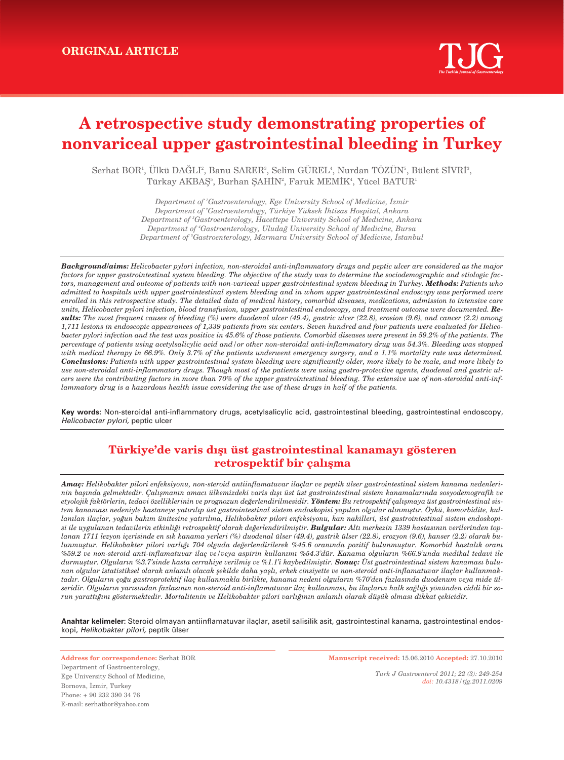# **A retrospective study demonstrating properties of nonvariceal upper gastrointestinal bleeding in Turkey**

Serhat BOR', Ulkü DAGLI', Banu SARER', Selim GUREL', Nurdan TOZUN', Bülent SİVRİ', Türkay AKBAŞ<sup>5</sup>, Burhan ŞAHİN<sup>2</sup>, Faruk MEMİK<sup>4</sup>, Yücel BATUR<sup>1</sup>

> *Department of 1 Gastroenterology, Ege University School of Medicine, ‹zmir Department of 2 Gastroenterology, Türkiye Yüksek ‹htisas Hospital, Ankara Department of 3 Gastroenterology, Hacettepe University School of Medicine, Ankara Department of 4 Gastroenterology, Uluda¤ University School of Medicine, Bursa Department of 5 Gastroenterology, Marmara University School of Medicine, ‹stanbul*

*Background/aims: Helicobacter pylori infection, non-steroidal anti-inflammatory drugs and peptic ulcer are considered as the major factors for upper gastrointestinal system bleeding. The objective of the study was to determine the sociodemographic and etiologic factors, management and outcome of patients with non-variceal upper gastrointestinal system bleeding in Turkey. Methods: Patients who admitted to hospitals with upper gastrointestinal system bleeding and in whom upper gastrointestinal endoscopy was performed were enrolled in this retrospective study. The detailed data of medical history, comorbid diseases, medications, admission to intensive care units, Helicobacter pylori infection, blood transfusion, upper gastrointestinal endoscopy, and treatment outcome were documented. Results: The most frequent causes of bleeding (%) were duodenal ulcer (49.4), gastric ulcer (22.8), erosion (9.6), and cancer (2.2) among 1,711 lesions in endoscopic appearances of 1,339 patients from six centers. Seven hundred and four patients were evaluated for Helicobacter pylori infection and the test was positive in 45.6% of those patients. Comorbid diseases were present in 59.2% of the patients. The percentage of patients using acetylsalicylic acid and/or other non-steroidal anti-inflammatory drug was 54.3%. Bleeding was stopped with medical therapy in 66.9%. Only 3.7% of the patients underwent emergency surgery, and a 1.1% mortality rate was determined. Conclusions: Patients with upper gastrointestinal system bleeding were significantly older, more likely to be male, and more likely to use non-steroidal anti-inflammatory drugs. Though most of the patients were using gastro-protective agents, duodenal and gastric ulcers were the contributing factors in more than 70% of the upper gastrointestinal bleeding. The extensive use of non-steroidal anti-inflammatory drug is a hazardous health issue considering the use of these drugs in half of the patients.*

**Key words:** Non-steroidal anti-inflammatory drugs, acetylsalicylic acid, gastrointestinal bleeding, gastrointestinal endoscopy, Helicobacter pylori, peptic ulcer

# **Türkiye'de varis d›fl› üst gastrointestinal kanamay› gösteren retrospektif bir çalışma**

*Amaç: Helikobakter pilori enfeksiyonu, non-steroid antiinflamatuvar ilaçlar ve peptik ülser gastrointestinal sistem kanama nedenlerinin bafl›nda gelmektedir. Çal›flman›n amac› ülkemizdeki varis d›fl› üst üst gastrointestinal sistem kanamalar›nda sosyodemografik ve* etyolojik faktörlerin, tedavi özelliklerinin ve prognozun değerlendirilmesidir. Yöntem: Bu retrospektif çalışmaya üst gastrointestinal sistem kanaması nedeniyle hastaneye yatırılıp üst gastrointestinal sistem endoskopisi yapılan olgular alınmıştır. Öykü, komorbidite, kullanılan ilaçlar, yoğun bakım ünitesine yatırılma, Helikobakter pilori enfeksiyonu, kan nakilleri, üst gastrointestinal sistem endoskopi*si ile uygulanan tedavilerin etkinli¤i retrospektif olarak de¤erlendirilmifltir. Bulgular: Alt› merkezin 1339 hastas›n›n verilerinden top*lanan 1711 lezyon içerisinde en sık kanama yerleri (%) duodenal ülser (49.4), gastrik ülser (22.8), erozyon (9.6), kanser (2.2) olarak bu*lunmuştur. Helikobakter pilori varlığı 704 olguda değerlendirilerek %45.6 oranında pozitif bulunmuştur. Komorbid hastalık oranı* %59.2 ve non-steroid anti-inflamatuvar ilaç ve/veya aspirin kullanımı %54.3'dür. Kanama olguların %66.9'unda medikal tedavi ile durmuştur. Olguların %3.7'sinde hasta cerrahiye verilmiş ve %1.1'i kaybedilmiştir. **Sonuç:** Üst gastrointestinal sistem kanaması bulunan olgular istatistiksel olarak anlamlı olacak şekilde daha yaşlı, erkek cinsiyette ve non-steroid anti-inflamatuvar ilaçlar kullanmaktadır. Olguların çoğu gastroprotektif ilaç kullanmakla birlikte, kanama nedeni olguların %70'den fazlasında duodenum veya mide ülseridir. Olguların yarısından fazlasının non-steroid anti-inflamatuvar ilaç kullanması, bu ilaçların halk sağlığı yönünden ciddi bir sorun yarattığını göstermektedir. Mortalitenin ve Helikobakter pilori varlığının anlamlı olarak düşük olması dikkat çekicidir.

**Anahtar kelimeler:** Steroid olmayan antiinflamatuvar ilaçlar, asetil salisilik asit, gastrointestinal kanama, gastrointestinal endoskopi, Helikobakter pilori, peptik ülser

**Address for correspondence:** Serhat BOR Department of Gastroenterology, Ege University School of Medicine, Bornova, İzmir, Turkey Phone: + 90 232 390 34 76 E-mail: serhatbor@yahoo.com

**Manuscript received:** 15.06.2010 **Accepted:** 27.10.2010

*Turk J Gastroenterol 2011; 22 (3): 249-254 doi: 10.4318/tjg.2011.0209*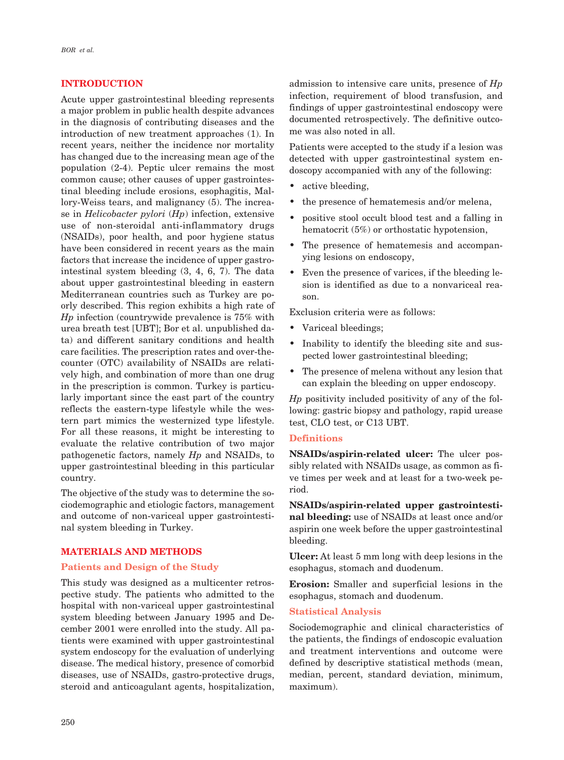#### **INTRODUCTION**

Acute upper gastrointestinal bleeding represents a major problem in public health despite advances in the diagnosis of contributing diseases and the introduction of new treatment approaches (1). In recent years, neither the incidence nor mortality has changed due to the increasing mean age of the population (2-4). Peptic ulcer remains the most common cause; other causes of upper gastrointestinal bleeding include erosions, esophagitis, Mallory-Weiss tears, and malignancy (5). The increase in *Helicobacter pylori* (*Hp*) infection, extensive use of non-steroidal anti-inflammatory drugs (NSAIDs), poor health, and poor hygiene status have been considered in recent years as the main factors that increase the incidence of upper gastrointestinal system bleeding (3, 4, 6, 7). The data about upper gastrointestinal bleeding in eastern Mediterranean countries such as Turkey are poorly described. This region exhibits a high rate of *Hp* infection (countrywide prevalence is 75% with urea breath test [UBT]; Bor et al. unpublished data) and different sanitary conditions and health care facilities. The prescription rates and over-thecounter (OTC) availability of NSAIDs are relatively high, and combination of more than one drug in the prescription is common. Turkey is particularly important since the east part of the country reflects the eastern-type lifestyle while the western part mimics the westernized type lifestyle. For all these reasons, it might be interesting to evaluate the relative contribution of two major pathogenetic factors, namely *Hp* and NSAIDs, to upper gastrointestinal bleeding in this particular country.

The objective of the study was to determine the sociodemographic and etiologic factors, management and outcome of non-variceal upper gastrointestinal system bleeding in Turkey.

## **MATERIALS AND METHODS**

#### **Patients and Design of the Study**

This study was designed as a multicenter retrospective study. The patients who admitted to the hospital with non-variceal upper gastrointestinal system bleeding between January 1995 and December 2001 were enrolled into the study. All patients were examined with upper gastrointestinal system endoscopy for the evaluation of underlying disease. The medical history, presence of comorbid diseases, use of NSAIDs, gastro-protective drugs, steroid and anticoagulant agents, hospitalization,

admission to intensive care units, presence of *Hp* infection, requirement of blood transfusion, and findings of upper gastrointestinal endoscopy were documented retrospectively. The definitive outcome was also noted in all.

Patients were accepted to the study if a lesion was detected with upper gastrointestinal system endoscopy accompanied with any of the following:

- active bleeding,
- the presence of hematemesis and/or melena,
- positive stool occult blood test and a falling in hematocrit (5%) or orthostatic hypotension,
- The presence of hematemesis and accompanying lesions on endoscopy,
- Even the presence of varices, if the bleeding lesion is identified as due to a nonvariceal reason.

Exclusion criteria were as follows:

- Variceal bleedings;
- Inability to identify the bleeding site and suspected lower gastrointestinal bleeding;
- The presence of melena without any lesion that can explain the bleeding on upper endoscopy.

*Hp* positivity included positivity of any of the following: gastric biopsy and pathology, rapid urease test, CLO test, or C13 UBT.

#### **Definitions**

**NSAIDs/aspirin-related ulcer:** The ulcer possibly related with NSAIDs usage, as common as five times per week and at least for a two-week period.

**NSAIDs/aspirin-related upper gastrointestinal bleeding:** use of NSAIDs at least once and/or aspirin one week before the upper gastrointestinal bleeding.

**Ulcer:** At least 5 mm long with deep lesions in the esophagus, stomach and duodenum.

**Erosion:** Smaller and superficial lesions in the esophagus, stomach and duodenum.

#### **Statistical Analysis**

Sociodemographic and clinical characteristics of the patients, the findings of endoscopic evaluation and treatment interventions and outcome were defined by descriptive statistical methods (mean, median, percent, standard deviation, minimum, maximum).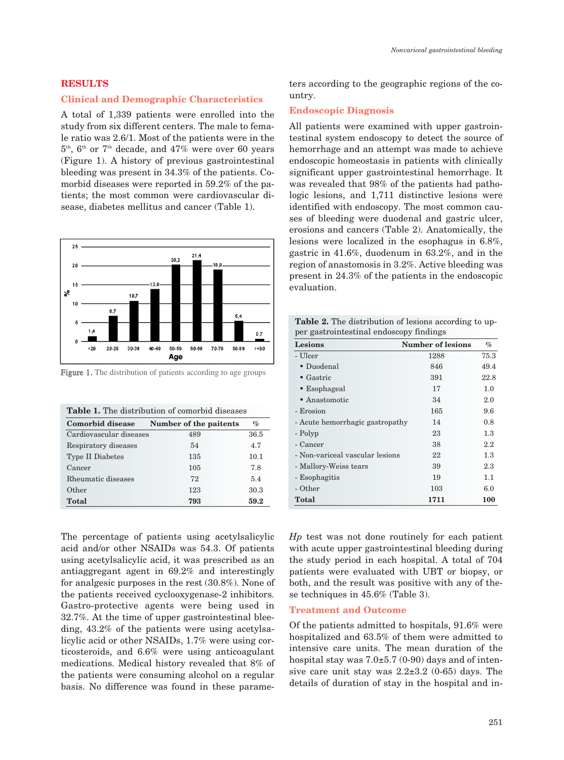#### **RESULTS**

#### **Clinical and Demographic Characteristics**

A total of 1,339 patients were enrolled into the study from six different centers. The male to female ratio was 2.6/1. Most of the patients were in the  $5<sup>th</sup>$ ,  $6<sup>th</sup>$  or  $7<sup>th</sup>$  decade, and  $47\%$  were over 60 years (Figure 1). A history of previous gastrointestinal bleeding was present in 34.3% of the patients. Comorbid diseases were reported in 59.2% of the patients; the most common were cardiovascular disease, diabetes mellitus and cancer (Table 1).



Figure 1. The distribution of patients according to age groups

|  |  | <b>Table 1.</b> The distribution of comorbid diseases |  |
|--|--|-------------------------------------------------------|--|
|--|--|-------------------------------------------------------|--|

| Comorbid disease        | Number of the paitents | $\%$ |
|-------------------------|------------------------|------|
| Cardiovascular diseases | 489                    | 36.5 |
| Respiratory diseases    | 54                     | 4.7  |
| <b>Type II Diabetes</b> | 135                    | 10.1 |
| Cancer                  | 105                    | 7.8  |
| Rheumatic diseases      | 72                     | 5.4  |
| Other                   | 123                    | 30.3 |
| <b>Total</b>            | 793                    | 59.2 |

The percentage of patients using acetylsalicylic acid and/or other NSAIDs was 54.3. Of patients using acetylsalicylic acid, it was prescribed as an antiaggregant agent in 69.2% and interestingly for analgesic purposes in the rest (30.8%). None of the patients received cyclooxygenase-2 inhibitors. Gastro-protective agents were being used in 32.7%. At the time of upper gastrointestinal bleeding, 43.2% of the patients were using acetylsalicylic acid or other NSAIDs, 1.7% were using corticosteroids, and 6.6% were using anticoagulant medications. Medical history revealed that 8% of the patients were consuming alcohol on a regular basis. No difference was found in these parameters according to the geographic regions of the country.

#### **Endoscopic Diagnosis**

All patients were examined with upper gastrointestinal system endoscopy to detect the source of hemorrhage and an attempt was made to achieve endoscopic homeostasis in patients with clinically significant upper gastrointestinal hemorrhage. It was revealed that 98% of the patients had pathologic lesions, and 1,711 distinctive lesions were identified with endoscopy. The most common causes of bleeding were duodenal and gastric ulcer, erosions and cancers (Table 2). Anatomically, the lesions were localized in the esophagus in 6.8%, gastric in 41.6%, duodenum in 63.2%, and in the region of anastomosis in 3.2%. Active bleeding was present in 24.3% of the patients in the endoscopic evaluation.

**Table 2.** The distribution of lesions according to upper gastrointestinal endoscopy findings

| Lesions                         | <b>Number of lesions</b> | $\%$       |  |
|---------------------------------|--------------------------|------------|--|
| - Ulcer                         | 1288                     | 75.3       |  |
| • Duodenal                      | 846                      | 49.4       |  |
| $\bullet$ Gastric               | 391                      | 22.8       |  |
| $\bullet$ Esophageal            | 17                       | 1.0        |  |
| • Anastomotic                   | 34                       | 2.0        |  |
| - Erosion                       | 165                      | 9.6        |  |
| - Acute hemorrhagic gastropathy | 14                       | 0.8        |  |
| - Polyp                         | 23                       | $1.3\,$    |  |
| - Cancer                        | 38                       | $2.2\,$    |  |
| - Non-variceal vascular lesions | 22                       | $1.3\,$    |  |
| - Mallory-Weiss tears           | 39                       | 2.3        |  |
| - Esophagitis                   | 19                       | 1.1        |  |
| - Other                         | 103                      | 6.0        |  |
| Total                           | 1711                     | <b>100</b> |  |
|                                 |                          |            |  |

*Hp* test was not done routinely for each patient with acute upper gastrointestinal bleeding during the study period in each hospital. A total of 704 patients were evaluated with UBT or biopsy, or both, and the result was positive with any of these techniques in 45.6% (Table 3).

#### **Treatment and Outcome**

Of the patients admitted to hospitals, 91.6% were hospitalized and 63.5% of them were admitted to intensive care units. The mean duration of the hospital stay was  $7.0\pm5.7$  (0-90) days and of intensive care unit stay was  $2.2\pm3.2$  (0-65) days. The details of duration of stay in the hospital and in-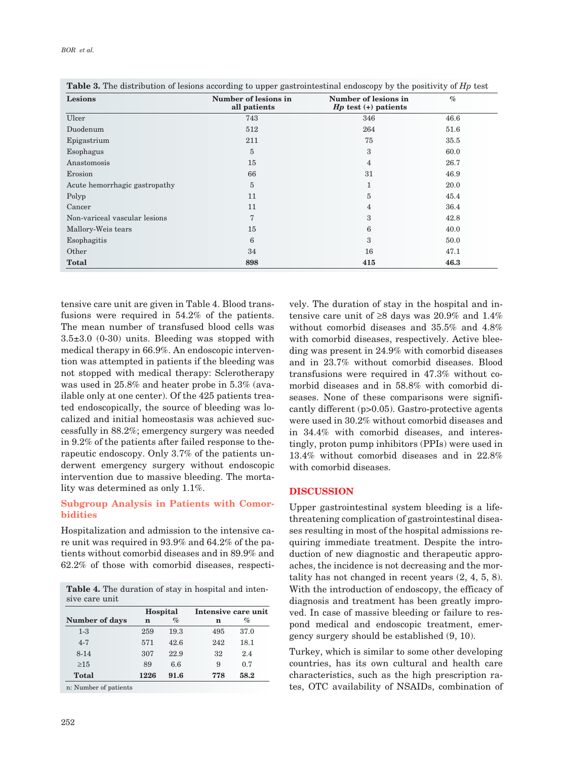| BOR et al. |  |  |
|------------|--|--|
|------------|--|--|

| Lesions                       | Number of lesions in<br>all patients | Number of lesions in<br>$Hp$ test $(+)$ patients | $\mathcal{O}'_0$ |
|-------------------------------|--------------------------------------|--------------------------------------------------|------------------|
| Ulcer                         | 743                                  | 346                                              | 46.6             |
| Duodenum                      | 512                                  | 264                                              | 51.6             |
| Epigastrium                   | 211                                  | 75                                               | 35.5             |
| Esophagus                     | 5                                    | 3                                                | 60.0             |
| Anastomosis                   | 15                                   | $\overline{4}$                                   | 26.7             |
| Erosion                       | 66                                   | 31                                               | 46.9             |
| Acute hemorrhagic gastropathy | $\overline{5}$                       | 1                                                | 20.0             |
| Polyp                         | 11                                   | 5                                                | 45.4             |
| Cancer                        | 11                                   | 4                                                | 36.4             |
| Non-variceal vascular lesions | $\overline{7}$                       | 3                                                | 42.8             |
| Mallory-Weis tears            | 15                                   | 6                                                | 40.0             |
| Esophagitis                   | 6                                    | 3                                                | 50.0             |
| Other                         | 34                                   | 16                                               | 47.1             |
| <b>Total</b>                  | 898                                  | 415                                              | 46.3             |

**Table 3.** The distribution of lesions according to upper gastrointestinal endoscopy by the positivity of *Hp* test

tensive care unit are given in Table 4. Blood transfusions were required in 54.2% of the patients. The mean number of transfused blood cells was 3.5±3.0 (0-30) units. Bleeding was stopped with medical therapy in 66.9%. An endoscopic intervention was attempted in patients if the bleeding was not stopped with medical therapy: Sclerotherapy was used in 25.8% and heater probe in 5.3% (available only at one center). Of the 425 patients treated endoscopically, the source of bleeding was localized and initial homeostasis was achieved successfully in 88.2%; emergency surgery was needed in 9.2% of the patients after failed response to therapeutic endoscopy. Only 3.7% of the patients underwent emergency surgery without endoscopic intervention due to massive bleeding. The mortality was determined as only 1.1%.

## **Subgroup Analysis in Patients with Comorbidities**

Hospitalization and admission to the intensive care unit was required in 93.9% and 64.2% of the patients without comorbid diseases and in 89.9% and 62.2% of those with comorbid diseases, respecti-

**Table 4.** The duration of stay in hospital and intensive care unit

|                | Hospital |      | Intensive care unit |      |
|----------------|----------|------|---------------------|------|
| Number of days | n        | $\%$ | n                   | $\%$ |
| $1 - 3$        | 259      | 19.3 | 495                 | 37.0 |
| $4 - 7$        | 571      | 42.6 | 242                 | 18.1 |
| $8 - 14$       | 307      | 22.9 | 32                  | 2.4  |
| $\geq$ 15      | 89       | 6.6  | 9                   | 0.7  |
| <b>Total</b>   | 1226     | 91.6 | 778                 | 58.2 |

n: Number of patients

vely. The duration of stay in the hospital and intensive care unit of ≥8 days was 20.9% and 1.4% without comorbid diseases and 35.5% and 4.8% with comorbid diseases, respectively. Active bleeding was present in 24.9% with comorbid diseases and in 23.7% without comorbid diseases. Blood transfusions were required in 47.3% without comorbid diseases and in 58.8% with comorbid diseases. None of these comparisons were significantly different (p>0.05). Gastro-protective agents were used in 30.2% without comorbid diseases and in 34.4% with comorbid diseases, and interestingly, proton pump inhibitors (PPIs) were used in 13.4% without comorbid diseases and in 22.8% with comorbid diseases.

#### **DISCUSSION**

Upper gastrointestinal system bleeding is a lifethreatening complication of gastrointestinal diseases resulting in most of the hospital admissions requiring immediate treatment. Despite the introduction of new diagnostic and therapeutic approaches, the incidence is not decreasing and the mortality has not changed in recent years (2, 4, 5, 8). With the introduction of endoscopy, the efficacy of diagnosis and treatment has been greatly improved. In case of massive bleeding or failure to respond medical and endoscopic treatment, emergency surgery should be established (9, 10).

Turkey, which is similar to some other developing countries, has its own cultural and health care characteristics, such as the high prescription rates, OTC availability of NSAIDs, combination of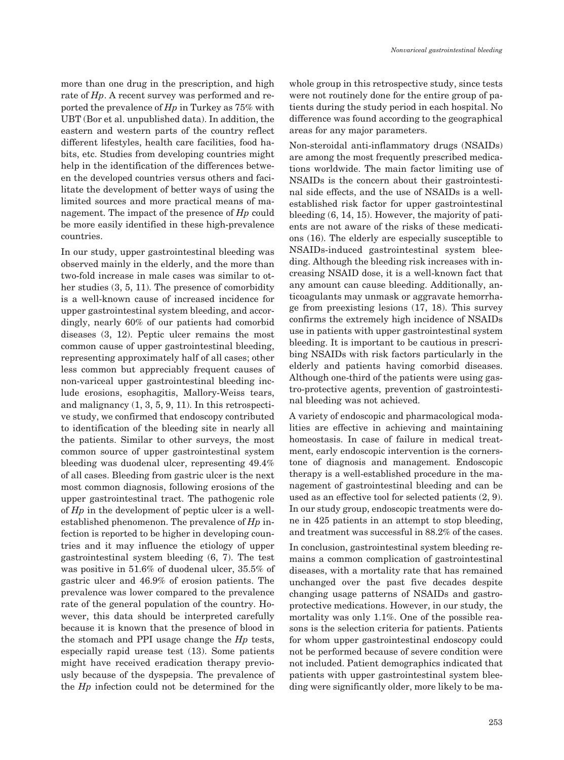more than one drug in the prescription, and high rate of *Hp*. A recent survey was performed and reported the prevalence of *Hp* in Turkey as 75% with UBT (Bor et al. unpublished data). In addition, the eastern and western parts of the country reflect different lifestyles, health care facilities, food habits, etc. Studies from developing countries might help in the identification of the differences between the developed countries versus others and facilitate the development of better ways of using the limited sources and more practical means of management. The impact of the presence of *Hp* could be more easily identified in these high-prevalence countries.

In our study, upper gastrointestinal bleeding was observed mainly in the elderly, and the more than two-fold increase in male cases was similar to other studies (3, 5, 11). The presence of comorbidity is a well-known cause of increased incidence for upper gastrointestinal system bleeding, and accordingly, nearly 60% of our patients had comorbid diseases (3, 12). Peptic ulcer remains the most common cause of upper gastrointestinal bleeding, representing approximately half of all cases; other less common but appreciably frequent causes of non-variceal upper gastrointestinal bleeding include erosions, esophagitis, Mallory-Weiss tears, and malignancy (1, 3, 5, 9, 11). In this retrospective study, we confirmed that endoscopy contributed to identification of the bleeding site in nearly all the patients. Similar to other surveys, the most common source of upper gastrointestinal system bleeding was duodenal ulcer, representing 49.4% of all cases. Bleeding from gastric ulcer is the next most common diagnosis, following erosions of the upper gastrointestinal tract. The pathogenic role of *Hp* in the development of peptic ulcer is a wellestablished phenomenon. The prevalence of *Hp* infection is reported to be higher in developing countries and it may influence the etiology of upper gastrointestinal system bleeding (6, 7). The test was positive in 51.6% of duodenal ulcer, 35.5% of gastric ulcer and 46.9% of erosion patients. The prevalence was lower compared to the prevalence rate of the general population of the country. However, this data should be interpreted carefully because it is known that the presence of blood in the stomach and PPI usage change the *Hp* tests, especially rapid urease test (13). Some patients might have received eradication therapy previously because of the dyspepsia. The prevalence of the *Hp* infection could not be determined for the

whole group in this retrospective study, since tests were not routinely done for the entire group of patients during the study period in each hospital. No difference was found according to the geographical areas for any major parameters.

Non-steroidal anti-inflammatory drugs (NSAIDs) are among the most frequently prescribed medications worldwide. The main factor limiting use of NSAIDs is the concern about their gastrointestinal side effects, and the use of NSAIDs is a wellestablished risk factor for upper gastrointestinal bleeding (6, 14, 15). However, the majority of patients are not aware of the risks of these medications (16). The elderly are especially susceptible to NSAIDs-induced gastrointestinal system bleeding. Although the bleeding risk increases with increasing NSAID dose, it is a well-known fact that any amount can cause bleeding. Additionally, anticoagulants may unmask or aggravate hemorrhage from preexisting lesions (17, 18). This survey confirms the extremely high incidence of NSAIDs use in patients with upper gastrointestinal system bleeding. It is important to be cautious in prescribing NSAIDs with risk factors particularly in the elderly and patients having comorbid diseases. Although one-third of the patients were using gastro-protective agents, prevention of gastrointestinal bleeding was not achieved.

A variety of endoscopic and pharmacological modalities are effective in achieving and maintaining homeostasis. In case of failure in medical treatment, early endoscopic intervention is the cornerstone of diagnosis and management. Endoscopic therapy is a well-established procedure in the management of gastrointestinal bleeding and can be used as an effective tool for selected patients (2, 9). In our study group, endoscopic treatments were done in 425 patients in an attempt to stop bleeding, and treatment was successful in 88.2% of the cases.

In conclusion, gastrointestinal system bleeding remains a common complication of gastrointestinal diseases, with a mortality rate that has remained unchanged over the past five decades despite changing usage patterns of NSAIDs and gastroprotective medications. However, in our study, the mortality was only 1.1%. One of the possible reasons is the selection criteria for patients. Patients for whom upper gastrointestinal endoscopy could not be performed because of severe condition were not included. Patient demographics indicated that patients with upper gastrointestinal system bleeding were significantly older, more likely to be ma